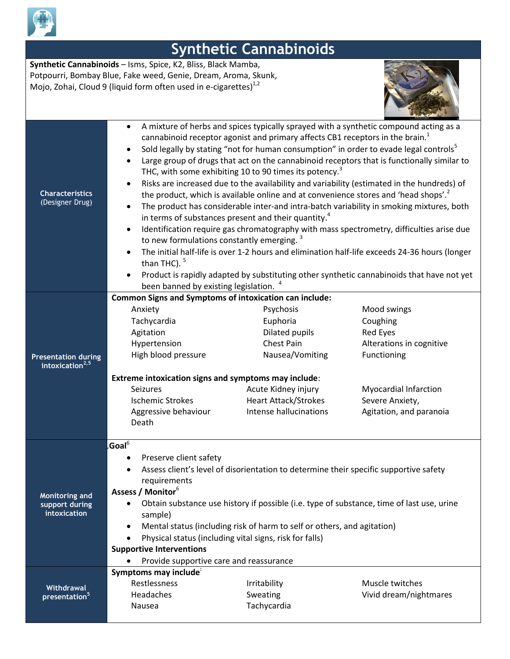

| <b>Synthetic Cannabinoids</b>                                                                                                                                                                             |                                                                                                                                                                                                                                                                                                                                                                                                                                                                                                                         |                                                                                                                                                                                                                                                                                                                                                                                                                                                                                                                                     |                                                                                                                                                                                                                                                                                                                                                                                                                                                                                                                                                                                |  |
|-----------------------------------------------------------------------------------------------------------------------------------------------------------------------------------------------------------|-------------------------------------------------------------------------------------------------------------------------------------------------------------------------------------------------------------------------------------------------------------------------------------------------------------------------------------------------------------------------------------------------------------------------------------------------------------------------------------------------------------------------|-------------------------------------------------------------------------------------------------------------------------------------------------------------------------------------------------------------------------------------------------------------------------------------------------------------------------------------------------------------------------------------------------------------------------------------------------------------------------------------------------------------------------------------|--------------------------------------------------------------------------------------------------------------------------------------------------------------------------------------------------------------------------------------------------------------------------------------------------------------------------------------------------------------------------------------------------------------------------------------------------------------------------------------------------------------------------------------------------------------------------------|--|
| Synthetic Cannabinoids - Isms, Spice, K2, Bliss, Black Mamba,<br>Potpourri, Bombay Blue, Fake weed, Genie, Dream, Aroma, Skunk,<br>Mojo, Zohai, Cloud 9 (liquid form often used in e-cigarettes) $^{1,2}$ |                                                                                                                                                                                                                                                                                                                                                                                                                                                                                                                         |                                                                                                                                                                                                                                                                                                                                                                                                                                                                                                                                     |                                                                                                                                                                                                                                                                                                                                                                                                                                                                                                                                                                                |  |
| <b>Characteristics</b><br>(Designer Drug)                                                                                                                                                                 | $\bullet$<br>$\bullet$<br>$\bullet$<br>to new formulations constantly emerging. <sup>3</sup><br>than THC). $5$<br>been banned by existing legislation. <sup>4</sup>                                                                                                                                                                                                                                                                                                                                                     | A mixture of herbs and spices typically sprayed with a synthetic compound acting as a<br>cannabinoid receptor agonist and primary affects CB1 receptors in the brain. <sup>1</sup><br>Sold legally by stating "not for human consumption" in order to evade legal controls <sup>5</sup><br>THC, with some exhibiting 10 to 90 times its potency. <sup>3</sup><br>the product, which is available online and at convenience stores and 'head shops'. <sup>2</sup><br>in terms of substances present and their quantity. <sup>4</sup> | Large group of drugs that act on the cannabinoid receptors that is functionally similar to<br>Risks are increased due to the availability and variability (estimated in the hundreds) of<br>The product has considerable inter-and intra-batch variability in smoking mixtures, both<br>Identification require gas chromatography with mass spectrometry, difficulties arise due<br>The initial half-life is over 1-2 hours and elimination half-life exceeds 24-36 hours (longer<br>Product is rapidly adapted by substituting other synthetic cannabinoids that have not yet |  |
| Presentation during<br>intoxication <sup>2,5</sup>                                                                                                                                                        | <b>Common Signs and Symptoms of intoxication can include:</b><br>Anxiety<br>Tachycardia<br>Agitation<br>Hypertension<br>High blood pressure<br>Extreme intoxication signs and symptoms may include:<br>Seizures<br><b>Ischemic Strokes</b><br>Aggressive behaviour<br>Death                                                                                                                                                                                                                                             | Psychosis<br>Euphoria<br>Dilated pupils<br>Chest Pain<br>Nausea/Vomiting<br>Acute Kidney injury<br><b>Heart Attack/Strokes</b><br>Intense hallucinations                                                                                                                                                                                                                                                                                                                                                                            | Mood swings<br>Coughing<br><b>Red Eyes</b><br>Alterations in cognitive<br>Functioning<br><b>Myocardial Infarction</b><br>Severe Anxiety,<br>Agitation, and paranoia                                                                                                                                                                                                                                                                                                                                                                                                            |  |
| <b>Monitoring and</b><br>support during<br>intoxication                                                                                                                                                   | .Goal $^6$<br>Preserve client safety<br>Assess client's level of disorientation to determine their specific supportive safety<br>requirements<br>Assess / Monitor <sup>6</sup><br>Obtain substance use history if possible (i.e. type of substance, time of last use, urine<br>$\bullet$<br>sample)<br>Mental status (including risk of harm to self or others, and agitation)<br>Physical status (including vital signs, risk for falls)<br><b>Supportive Interventions</b><br>Provide supportive care and reassurance |                                                                                                                                                                                                                                                                                                                                                                                                                                                                                                                                     |                                                                                                                                                                                                                                                                                                                                                                                                                                                                                                                                                                                |  |
| Withdrawal<br>presentation <sup>5</sup>                                                                                                                                                                   | Symptoms may include<br>Restlessness<br>Headaches<br>Nausea                                                                                                                                                                                                                                                                                                                                                                                                                                                             | Irritability<br>Sweating<br>Tachycardia                                                                                                                                                                                                                                                                                                                                                                                                                                                                                             | Muscle twitches<br>Vivid dream/nightmares                                                                                                                                                                                                                                                                                                                                                                                                                                                                                                                                      |  |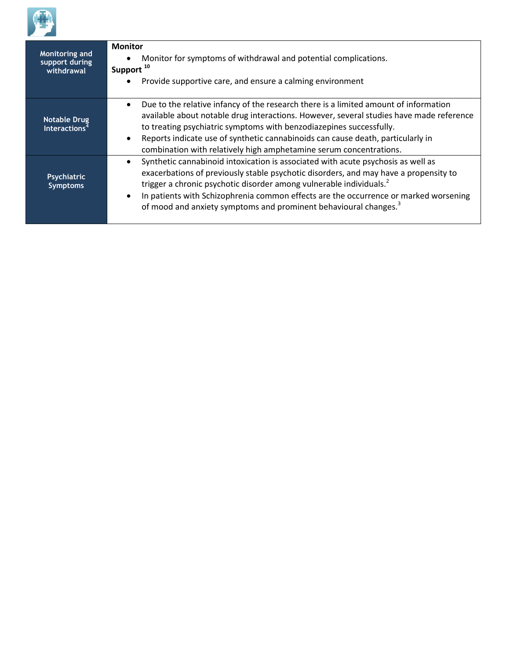

| Monitoring and<br>support during<br>withdrawal   | <b>Monitor</b><br>Monitor for symptoms of withdrawal and potential complications.<br>Support <sup>10</sup><br>Provide supportive care, and ensure a calming environment                                                                                                                                                                                                                                                             |
|--------------------------------------------------|-------------------------------------------------------------------------------------------------------------------------------------------------------------------------------------------------------------------------------------------------------------------------------------------------------------------------------------------------------------------------------------------------------------------------------------|
| <b>Notable Drug</b><br>Interactions <sup>4</sup> | Due to the relative infancy of the research there is a limited amount of information<br>$\bullet$<br>available about notable drug interactions. However, several studies have made reference<br>to treating psychiatric symptoms with benzodiazepines successfully.<br>Reports indicate use of synthetic cannabinoids can cause death, particularly in<br>combination with relatively high amphetamine serum concentrations.        |
| Psychiatric<br><b>Symptoms</b>                   | Synthetic cannabinoid intoxication is associated with acute psychosis as well as<br>exacerbations of previously stable psychotic disorders, and may have a propensity to<br>trigger a chronic psychotic disorder among vulnerable individuals. <sup>2</sup><br>In patients with Schizophrenia common effects are the occurrence or marked worsening<br>of mood and anxiety symptoms and prominent behavioural changes. <sup>3</sup> |